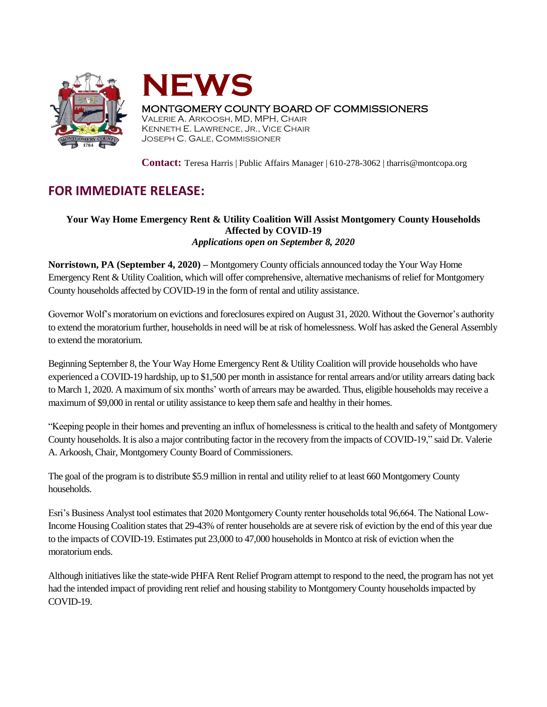



## MONTGOMERY COUNTY BOARD OF COMMISSIONERS

VALERIE A. ARKOOSH, MD, MPH, CHAIR KENNETH E. LAWRENCE, JR., VICE CHAIR JOSEPH C. GALE, COMMISSIONER

**Contact:** Teresa Harris | Public Affairs Manager | 610-278-3062 | tharris@montcopa.org

# **FOR IMMEDIATE RELEASE:**

## **Your Way Home Emergency Rent & Utility Coalition Will Assist Montgomery County Households Affected by COVID-19** *Applications open on September 8, 2020*

**Norristown, PA (September 4, 2020) –** Montgomery County officials announced today the Your Way Home Emergency Rent & Utility Coalition, which will offer comprehensive, alternative mechanisms of relief for Montgomery County households affected by COVID-19 in the form of rental and utility assistance.

Governor Wolf's moratorium on evictions and foreclosures expired on August 31, 2020. Without the Governor's authority to extend the moratorium further, households in need will be at risk of homelessness. Wolf has asked the General Assembly to extend the moratorium.

Beginning September 8, the Your Way Home Emergency Rent & Utility Coalition will provide households who have experienced a COVID-19 hardship, up to \$1,500 per month in assistance for rental arrears and/or utility arrears dating back to March 1, 2020. A maximum of six months' worth of arrears may be awarded. Thus, eligible households may receive a maximum of \$9,000 in rental or utility assistance to keep them safe and healthy in their homes.

"Keeping people in their homes and preventing an influx of homelessness is critical to the health and safety of Montgomery County households. It is also a major contributing factor in the recovery from the impacts of COVID-19," said Dr. Valerie A. Arkoosh, Chair, Montgomery County Board of Commissioners.

The goal of the program is to distribute \$5.9 million in rental and utility relief to at least 660 Montgomery County households.

Esri's Business Analyst tool estimates that 2020 Montgomery County renter households total 96,664. The National Low-Income Housing Coalition states that 29-43% of renter households are at severe risk of eviction by the end of this year due to the impacts of COVID-19. Estimates put 23,000 to 47,000 households in Montco at risk of eviction when the moratorium ends.

Although initiatives like the state-wide PHFA Rent Relief Program attempt to respond to the need, the program has not yet had the intended impact of providing rent relief and housing stability to Montgomery County households impacted by COVID-19.